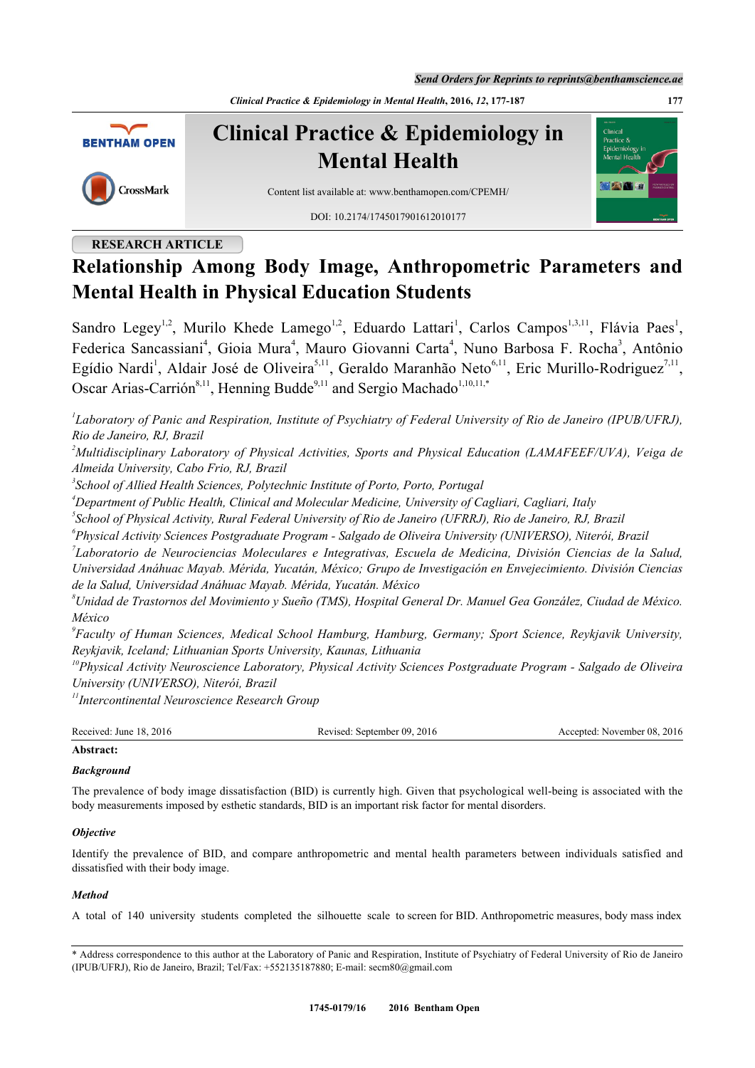*Send Orders for Reprints to reprints@benthamscience.ae*

*Clinical Practice & Epidemiology in Mental Health***, 2016,** *12***, 177-187 177**



**Clinical Practice & Epidemiology in Mental Health**

CrossMark

Content list available at: [www.benthamopen.com/CPEMH/](http://www.benthamopen.com/CPEMH/)

DOI: [10.2174/1745017901612010177](http://dx.doi.org/10.2174/1745017901612010177)

# **RESEARCH ARTICLE**



# **Relationship Among Body Image, Anthropometric Parameters and Mental Health in Physical Education Students**

Sandro Legey<sup>[1,](#page-0-0)[2](#page-0-1)</sup>, Murilo Khede Lamego<sup>[1](#page-0-0),2</sup>, Eduardo Lattari<sup>1</sup>, Carlos Campos<sup>1,[3](#page-0-2)[,11](#page-0-3)</sup>, Flávia Paes<sup>1</sup>, Federica Sancassiani<sup>[4](#page-0-4)</sup>, Gioia Mura<sup>4</sup>, Mauro Giovanni Carta<sup>4</sup>, Nuno Barbosa F. Rocha<sup>[3](#page-0-2)</sup>, Antônio Egídio Nardi<sup>[1](#page-0-0)</sup>, Aldair José de Oliveira<sup>[5](#page-0-5),[11](#page-0-3)</sup>, Geraldo Maranhão Neto<sup>[6](#page-0-6),11</sup>, Eric Murillo-Rodriguez<sup>[7](#page-0-7),11</sup>, Oscar Arias-Carrión<sup>[8,](#page-0-8)[11](#page-0-3)</sup>, Henning Budde<sup>[9](#page-0-9)[,11](#page-0-3)</sup> and Sergio Machado<sup>[1](#page-0-0)[,10,](#page-0-10)11,[\\*](#page-0-11)</sup>

<span id="page-0-0"></span>*1 Laboratory of Panic and Respiration, Institute of Psychiatry of Federal University of Rio de Janeiro (IPUB/UFRJ), Rio de Janeiro, RJ, Brazil*

<span id="page-0-1"></span>*<sup>2</sup>Multidisciplinary Laboratory of Physical Activities, Sports and Physical Education (LAMAFEEF/UVA), Veiga de Almeida University, Cabo Frio, RJ, Brazil*

<span id="page-0-2"></span>*3 School of Allied Health Sciences, Polytechnic Institute of Porto, Porto, Portugal*

<span id="page-0-4"></span>*<sup>4</sup>Department of Public Health, Clinical and Molecular Medicine, University of Cagliari, Cagliari, Italy*

<span id="page-0-5"></span>*5 School of Physical Activity, Rural Federal University of Rio de Janeiro (UFRRJ), Rio de Janeiro, RJ, Brazil*

<span id="page-0-6"></span>*6 Physical Activity Sciences Postgraduate Program - Salgado de Oliveira University (UNIVERSO), Niterói, Brazil*

<span id="page-0-7"></span>*7 Laboratorio de Neurociencias Moleculares e Integrativas, Escuela de Medicina, División Ciencias de la Salud, Universidad Anáhuac Mayab. Mérida, Yucatán, México; Grupo de Investigación en Envejecimiento. División Ciencias de la Salud, Universidad Anáhuac Mayab. Mérida, Yucatán. México*

<span id="page-0-8"></span>*<sup>8</sup>Unidad de Trastornos del Movimiento y Sueño (TMS), Hospital General Dr. Manuel Gea González, Ciudad de México. México*

<span id="page-0-9"></span>*9 Faculty of Human Sciences, Medical School Hamburg, Hamburg, Germany; Sport Science, Reykjavik University, Reykjavik, Iceland; Lithuanian Sports University, Kaunas, Lithuania*

<span id="page-0-10"></span>*<sup>10</sup>Physical Activity Neuroscience Laboratory, Physical Activity Sciences Postgraduate Program - Salgado de Oliveira University (UNIVERSO), Niterói, Brazil*

<span id="page-0-3"></span>*<sup>11</sup>Intercontinental Neuroscience Research Group*

| Received: June 18, 2016 | : September 09, 2016<br>Revised: | November 08, 2016<br>Accepted:<br>$\sim$ $\sim$ |
|-------------------------|----------------------------------|-------------------------------------------------|
|                         |                                  |                                                 |

# **Abstract:**

# *Background*

The prevalence of body image dissatisfaction (BID) is currently high. Given that psychological well-being is associated with the body measurements imposed by esthetic standards, BID is an important risk factor for mental disorders.

# *Objective*

Identify the prevalence of BID, and compare anthropometric and mental health parameters between individuals satisfied and dissatisfied with their body image.

# *Method*

A total of 140 university students completed the silhouette scale to screen for BID. Anthropometric measures, body mass index

<span id="page-0-11"></span><sup>\*</sup> Address correspondence to this author at the Laboratory of Panic and Respiration, Institute of Psychiatry of Federal University of Rio de Janeiro (IPUB/UFRJ), Rio de Janeiro, Brazil; Tel/Fax: +552135187880; E-mail: [secm80@gmail.com](mailto:secm80@gmail.com)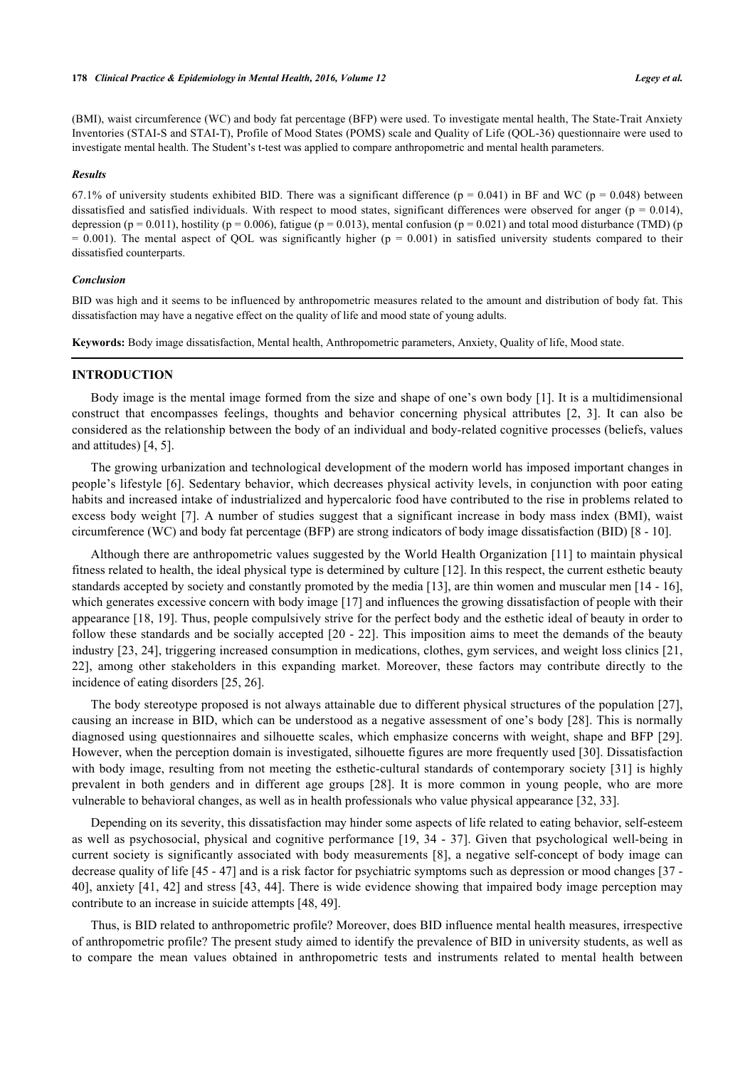#### **178** *Clinical Practice & Epidemiology in Mental Health, 2016, Volume 12 Legey et al.*

(BMI), waist circumference (WC) and body fat percentage (BFP) were used. To investigate mental health, The State-Trait Anxiety Inventories (STAI-S and STAI-T), Profile of Mood States (POMS) scale and Quality of Life (QOL-36) questionnaire were used to investigate mental health. The Student's t-test was applied to compare anthropometric and mental health parameters.

#### *Results*

67.1% of university students exhibited BID. There was a significant difference ( $p = 0.041$ ) in BF and WC ( $p = 0.048$ ) between dissatisfied and satisfied individuals. With respect to mood states, significant differences were observed for anger ( $p = 0.014$ ), depression ( $p = 0.011$ ), hostility ( $p = 0.006$ ), fatigue ( $p = 0.013$ ), mental confusion ( $p = 0.021$ ) and total mood disturbance (TMD) ( $p$  $= 0.001$ ). The mental aspect of QOL was significantly higher ( $p = 0.001$ ) in satisfied university students compared to their dissatisfied counterparts.

#### *Conclusion*

BID was high and it seems to be influenced by anthropometric measures related to the amount and distribution of body fat. This dissatisfaction may have a negative effect on the quality of life and mood state of young adults.

**Keywords:** Body image dissatisfaction, Mental health, Anthropometric parameters, Anxiety, Quality of life, Mood state.

### **INTRODUCTION**

Body image is the mental image formed from the size and shape of one's own body [\[1](#page-6-0)]. It is a multidimensional construct that encompasses feelings, thoughts and behavior concerning physical attributes [\[2,](#page-6-1) [3\]](#page-6-2). It can also be considered as the relationship between the body of an individual and body-related cognitive processes (beliefs, values and attitudes) [[4,](#page-6-3) [5\]](#page-6-4).

The growing urbanization and technological development of the modern world has imposed important changes in people's lifestyle [[6\]](#page-6-5). Sedentary behavior, which decreases physical activity levels, in conjunction with poor eating habits and increased intake of industrialized and hypercaloric food have contributed to the rise in problems related to excess body weight [\[7](#page-6-6)]. A number of studies suggest that a significant increase in body mass index (BMI), waist circumference (WC) and body fat percentage (BFP) are strong indicators of body image dissatisfaction (BID) [[8](#page-6-7) - [10](#page-6-8)].

Although there are anthropometric values suggested by the World Health Organization [\[11](#page-6-9)] to maintain physical fitness related to health, the ideal physical type is determined by culture [\[12](#page-6-10)]. In this respect, the current esthetic beauty standards accepted by society and constantly promoted by the media [[13\]](#page-6-11), are thin women and muscular men [[14](#page-6-12) - [16\]](#page-7-0), which generates excessive concern with body image [[17\]](#page-7-1) and influences the growing dissatisfaction of people with their appearance [[18,](#page-7-2) [19](#page-7-3)]. Thus, people compulsively strive for the perfect body and the esthetic ideal of beauty in order to follow these standards and be socially accepted [\[20](#page-7-4) - [22\]](#page-7-5). This imposition aims to meet the demands of the beauty industry [\[23](#page-7-6), [24\]](#page-7-7), triggering increased consumption in medications, clothes, gym services, and weight loss clinics [[21](#page-7-8), [22\]](#page-7-5), among other stakeholders in this expanding market. Moreover, these factors may contribute directly to the incidence of eating disorders [[25,](#page-7-9) [26\]](#page-7-10).

The body stereotype proposed is not always attainable due to different physical structures of the population [\[27\]](#page-7-11), causing an increase in BID, which can be understood as a negative assessment of one's body [[28](#page-7-12)]. This is normally diagnosed using questionnaires and silhouette scales, which emphasize concerns with weight, shape and BFP [\[29\]](#page-7-13). However, when the perception domain is investigated, silhouette figures are more frequently used [[30](#page-7-14)]. Dissatisfaction with body image, resulting from not meeting the esthetic-cultural standards of contemporary society [[31](#page-7-15)] is highly prevalent in both genders and in different age groups [\[28](#page-7-12)]. It is more common in young people, who are more vulnerable to behavioral changes, as well as in health professionals who value physical appearance [[32,](#page-7-16) [33\]](#page-7-17).

Depending on its severity, this dissatisfaction may hinder some aspects of life related to eating behavior, self-esteem as well as psychosocial, physical and cognitive performance [[19](#page-7-3), [34](#page-7-18) - [37\]](#page-7-19). Given that psychological well-being in current society is significantly associated with body measurements [[8\]](#page-6-7), a negative self-concept of body image can decrease quality of life [[45](#page-8-0) - [47](#page-8-1)] and is a risk factor for psychiatric symptoms such as depression or mood changes [[37](#page-7-19) - [40\]](#page-8-2), anxiety [[41,](#page-8-3) [42\]](#page-8-4) and stress [[43,](#page-8-5) [44\]](#page-8-6). There is wide evidence showing that impaired body image perception may contribute to an increase in suicide attempts [\[48](#page-8-7), [49](#page-8-8)].

Thus, is BID related to anthropometric profile? Moreover, does BID influence mental health measures, irrespective of anthropometric profile? The present study aimed to identify the prevalence of BID in university students, as well as to compare the mean values obtained in anthropometric tests and instruments related to mental health between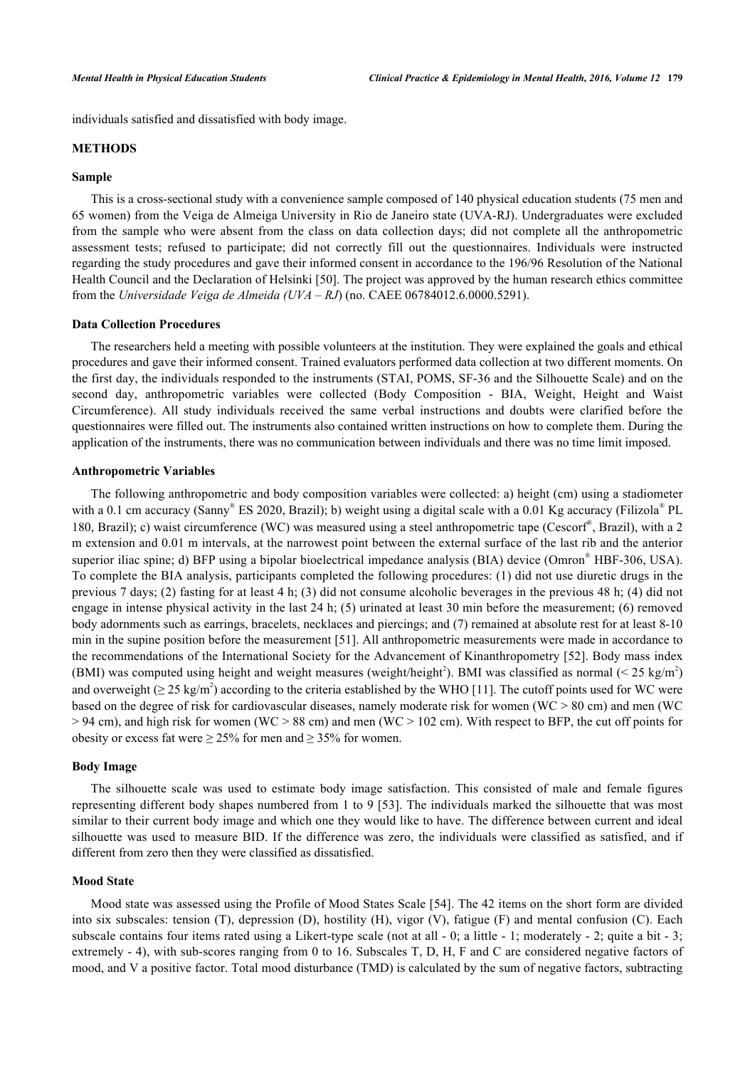individuals satisfied and dissatisfied with body image.

## **METHODS**

#### **Sample**

This is a cross-sectional study with a convenience sample composed of 140 physical education students (75 men and 65 women) from the Veiga de Almeiga University in Rio de Janeiro state (UVA-RJ). Undergraduates were excluded from the sample who were absent from the class on data collection days; did not complete all the anthropometric assessment tests; refused to participate; did not correctly fill out the questionnaires. Individuals were instructed regarding the study procedures and gave their informed consent in accordance to the 196/96 Resolution of the National Health Council and the Declaration of Helsinki [\[50](#page-8-9)]. The project was approved by the human research ethics committee from the *Universidade Veiga de Almeida (UVA – RJ*) (no. CAEE 06784012.6.0000.5291).

#### **Data Collection Procedures**

The researchers held a meeting with possible volunteers at the institution. They were explained the goals and ethical procedures and gave their informed consent. Trained evaluators performed data collection at two different moments. On the first day, the individuals responded to the instruments (STAI, POMS, SF-36 and the Silhouette Scale) and on the second day, anthropometric variables were collected (Body Composition - BIA, Weight, Height and Waist Circumference). All study individuals received the same verbal instructions and doubts were clarified before the questionnaires were filled out. The instruments also contained written instructions on how to complete them. During the application of the instruments, there was no communication between individuals and there was no time limit imposed.

#### **Anthropometric Variables**

The following anthropometric and body composition variables were collected: a) height (cm) using a stadiometer with a 0.1 cm accuracy (Sanny® ES 2020, Brazil); b) weight using a digital scale with a 0.01 Kg accuracy (Filizola® PL 180, Brazil); c) waist circumference (WC) was measured using a steel anthropometric tape (Cescorf®, Brazil), with a 2 m extension and 0.01 m intervals, at the narrowest point between the external surface of the last rib and the anterior superior iliac spine; d) BFP using a bipolar bioelectrical impedance analysis (BIA) device (Omron® HBF-306, USA). To complete the BIA analysis, participants completed the following procedures: (1) did not use diuretic drugs in the previous 7 days; (2) fasting for at least 4 h; (3) did not consume alcoholic beverages in the previous 48 h; (4) did not engage in intense physical activity in the last 24 h; (5) urinated at least 30 min before the measurement; (6) removed body adornments such as earrings, bracelets, necklaces and piercings; and (7) remained at absolute rest for at least 8-10 min in the supine position before the measurement [\[51](#page-8-10)]. All anthropometric measurements were made in accordance to the recommendations of the International Society for the Advancement of Kinanthropometry [[52](#page-8-11)]. Body mass index (BMI) was computed using height and weight measures (weight/height<sup>2</sup>). BMI was classified as normal (< 25 kg/m<sup>2</sup>) and overweight  $(\geq 25 \text{ kg/m}^2)$  according to the criteria established by the WHO [[11\]](#page-6-9). The cutoff points used for WC were based on the degree of risk for cardiovascular diseases, namely moderate risk for women (WC > 80 cm) and men (WC  $> 94$  cm), and high risk for women (WC  $> 88$  cm) and men (WC  $> 102$  cm). With respect to BFP, the cut off points for obesity or excess fat were  $\geq$  25% for men and  $\geq$  35% for women.

#### **Body Image**

The silhouette scale was used to estimate body image satisfaction. This consisted of male and female figures representing different body shapes numbered from 1 to 9 [\[53\]](#page-8-12). The individuals marked the silhouette that was most similar to their current body image and which one they would like to have. The difference between current and ideal silhouette was used to measure BID. If the difference was zero, the individuals were classified as satisfied, and if different from zero then they were classified as dissatisfied.

#### **Mood State**

Mood state was assessed using the Profile of Mood States Scale [\[54](#page-8-13)]. The 42 items on the short form are divided into six subscales: tension (T), depression (D), hostility (H), vigor (V), fatigue (F) and mental confusion (C). Each subscale contains four items rated using a Likert-type scale (not at all  $-0$ ; a little  $-1$ ; moderately  $-2$ ; quite a bit  $-3$ ; extremely - 4), with sub-scores ranging from 0 to 16. Subscales T, D, H, F and C are considered negative factors of mood, and V a positive factor. Total mood disturbance (TMD) is calculated by the sum of negative factors, subtracting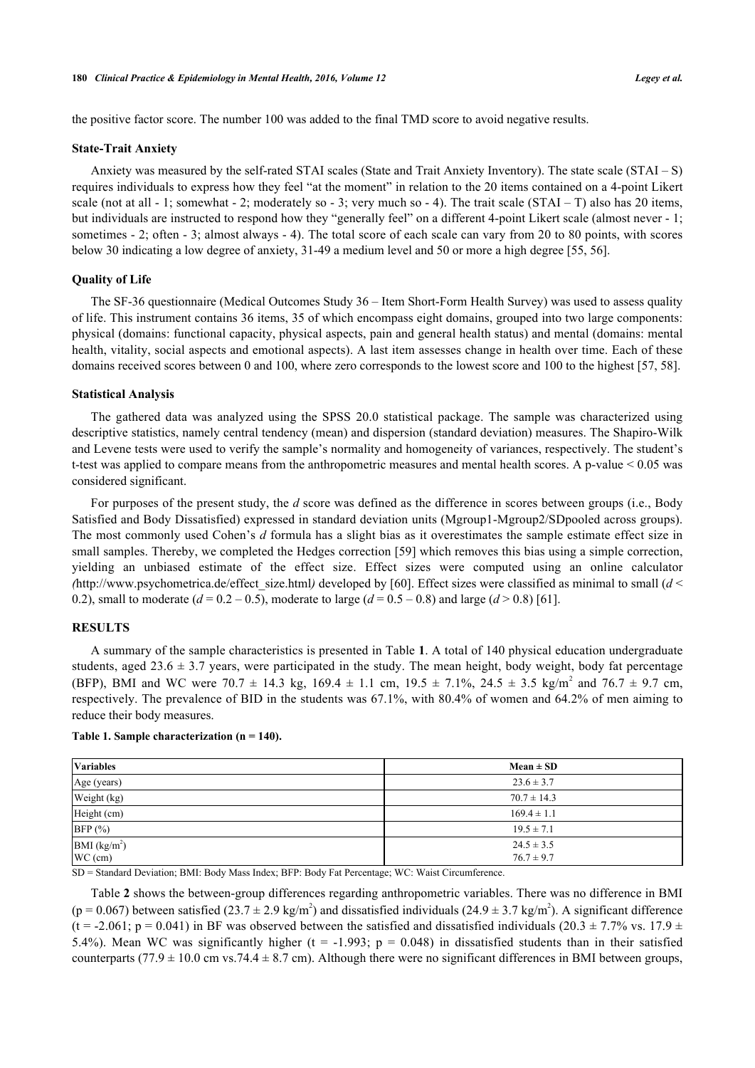the positive factor score. The number 100 was added to the final TMD score to avoid negative results.

#### **State-Trait Anxiety**

Anxiety was measured by the self-rated STAI scales (State and Trait Anxiety Inventory). The state scale (STAI – S) requires individuals to express how they feel "at the moment" in relation to the 20 items contained on a 4-point Likert scale (not at all - 1; somewhat - 2; moderately so - 3; very much so - 4). The trait scale (STAI – T) also has 20 items, but individuals are instructed to respond how they "generally feel" on a different 4-point Likert scale (almost never - 1; sometimes - 2; often - 3; almost always - 4). The total score of each scale can vary from 20 to 80 points, with scores below 30 indicating a low degree of anxiety, 31-49 a medium level and 50 or more a high degree [[55,](#page-8-14) [56\]](#page-8-15).

#### **Quality of Life**

The SF-36 questionnaire (Medical Outcomes Study 36 – Item Short-Form Health Survey) was used to assess quality of life. This instrument contains 36 items, 35 of which encompass eight domains, grouped into two large components: physical (domains: functional capacity, physical aspects, pain and general health status) and mental (domains: mental health, vitality, social aspects and emotional aspects). A last item assesses change in health over time. Each of these domains received scores between 0 and 100, where zero corresponds to the lowest score and 100 to the highest [\[57](#page-8-16), [58](#page-8-17)].

#### **Statistical Analysis**

The gathered data was analyzed using the SPSS 20.0 statistical package. The sample was characterized using descriptive statistics, namely central tendency (mean) and dispersion (standard deviation) measures. The Shapiro-Wilk and Levene tests were used to verify the sample's normality and homogeneity of variances, respectively. The student's t-test was applied to compare means from the anthropometric measures and mental health scores. A p-value < 0.05 was considered significant.

For purposes of the present study, the *d* score was defined as the difference in scores between groups (i.e., Body Satisfied and Body Dissatisfied) expressed in standard deviation units (Mgroup1-Mgroup2/SDpooled across groups). The most commonly used Cohen's *d* formula has a slight bias as it overestimates the sample estimate effect size in small samples. Thereby, we completed the Hedges correction [[59\]](#page-8-18) which removes this bias using a simple correction, yielding an unbiased estimate of the effect size. Effect sizes were computed using an online calculator *(*[http://www.psychometrica.de/effect\\_size.html](http://www.psychometrica.de/effect_size.html)*)* developed by [[60\]](#page-8-19). Effect sizes were classified as minimal to small (*d* < 0.2), small to moderate  $(d = 0.2 - 0.5)$ , moderate to large  $(d = 0.5 - 0.8)$  and large  $(d > 0.8)$  [\[61](#page-8-20)].

#### **RESULTS**

A summary of the sample characteristics is presented in Table **[1](#page-3-0)**. A total of 140 physical education undergraduate students, aged  $23.6 \pm 3.7$  years, were participated in the study. The mean height, body weight, body fat percentage (BFP), BMI and WC were  $70.7 \pm 14.3$  kg,  $169.4 \pm 1.1$  cm,  $19.5 \pm 7.1\%$ ,  $24.5 \pm 3.5$  kg/m<sup>2</sup> and  $76.7 \pm 9.7$  cm, respectively. The prevalence of BID in the students was 67.1%, with 80.4% of women and 64.2% of men aiming to reduce their body measures.

#### <span id="page-3-0"></span>**Table 1. Sample characterization (n = 140).**

| <b>Variables</b>                      | $Mean \pm SD$                    |
|---------------------------------------|----------------------------------|
| Age (years)                           | $23.6 \pm 3.7$                   |
| Weight (kg)                           | $70.7 \pm 14.3$                  |
| Height (cm)                           | $169.4 \pm 1.1$                  |
| BFP (%)                               | $19.5 \pm 7.1$                   |
| BMI (kg/m <sup>2</sup> )<br>$WC$ (cm) | $24.5 \pm 3.5$<br>$76.7 \pm 9.7$ |

SD = Standard Deviation; BMI: Body Mass Index; BFP: Body Fat Percentage; WC: Waist Circumference.

Table **[2](#page-4-0)** shows the between-group differences regarding anthropometric variables. There was no difference in BMI (p = 0.067) between satisfied (23.7  $\pm$  2.9 kg/m<sup>2</sup>) and dissatisfied individuals (24.9  $\pm$  3.7 kg/m<sup>2</sup>). A significant difference (t = -2.061; p = 0.041) in BF was observed between the satisfied and dissatisfied individuals (20.3  $\pm$  7.7% vs. 17.9  $\pm$ 5.4%). Mean WC was significantly higher (t = -1.993;  $p = 0.048$ ) in dissatisfied students than in their satisfied counterparts (77.9  $\pm$  10.0 cm vs.74.4  $\pm$  8.7 cm). Although there were no significant differences in BMI between groups,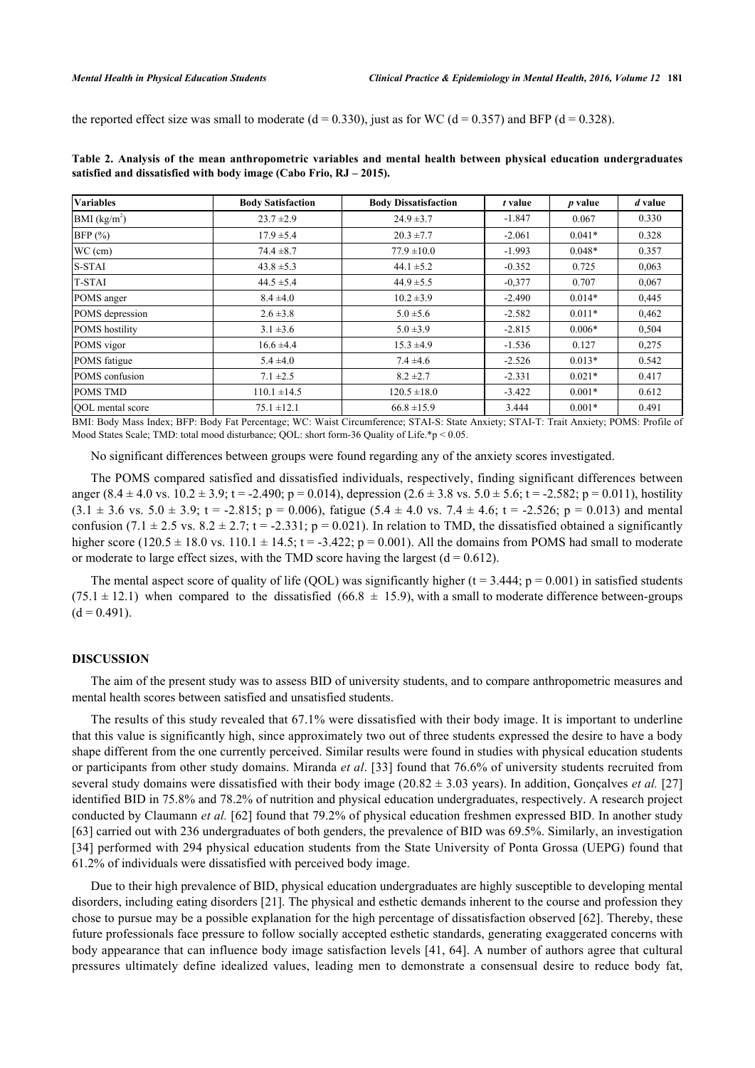the reported effect size was small to moderate ( $d = 0.330$ ), just as for WC ( $d = 0.357$ ) and BFP ( $d = 0.328$ ).

| <b>Variables</b>      | <b>Body Satisfaction</b> | <b>Body Dissatisfaction</b> | t value  | $p$ value | d value |
|-----------------------|--------------------------|-----------------------------|----------|-----------|---------|
| BMI $(kg/m^2)$        | $23.7 \pm 2.9$           | $24.9 \pm 3.7$              | $-1.847$ | 0.067     | 0.330   |
| $BFP$ (%)             | $17.9 \pm 5.4$           | $20.3 \pm 7.7$              | $-2.061$ | $0.041*$  | 0.328   |
| $WC$ (cm)             | $74.4 \pm 8.7$           | $77.9 \pm 10.0$             | $-1.993$ | $0.048*$  | 0.357   |
| S-STAI                | $43.8 \pm 5.3$           | $44.1 \pm 5.2$              | $-0.352$ | 0.725     | 0,063   |
| <b>T-STAI</b>         | $44.5 \pm 5.4$           | $44.9 \pm 5.5$              | $-0.377$ | 0.707     | 0,067   |
| POMS anger            | $8.4 \pm 4.0$            | $10.2 \pm 3.9$              | $-2.490$ | $0.014*$  | 0,445   |
| POMS depression       | $2.6 \pm 3.8$            | $5.0 \pm 5.6$               | $-2.582$ | $0.011*$  | 0,462   |
| <b>POMS</b> hostility | $3.1 \pm 3.6$            | $5.0 \pm 3.9$               | $-2.815$ | $0.006*$  | 0,504   |
| POMS vigor            | $16.6 \pm 4.4$           | $15.3 \pm 4.9$              | $-1.536$ | 0.127     | 0,275   |
| POMS fatigue          | $5.4 \pm 4.0$            | $7.4 \pm 4.6$               | $-2.526$ | $0.013*$  | 0.542   |
| POMS confusion        | $7.1 \pm 2.5$            | $8.2 \pm 2.7$               | $-2.331$ | $0.021*$  | 0.417   |
| <b>POMS TMD</b>       | $110.1 \pm 14.5$         | $120.5 \pm 18.0$            | $-3.422$ | $0.001*$  | 0.612   |
| QOL mental score<br>. | $75.1 \pm 12.1$          | $66.8 \pm 15.9$             | 3.444    | $0.001*$  | 0.491   |

<span id="page-4-0"></span>**Table 2. Analysis of the mean anthropometric variables and mental health between physical education undergraduates satisfied and dissatisfied with body image (Cabo Frio, RJ – 2015).**

BMI: Body Mass Index; BFP: Body Fat Percentage; WC: Waist Circumference; STAI-S: State Anxiety; STAI-T: Trait Anxiety; POMS: Profile of Mood States Scale; TMD: total mood disturbance; QOL: short form-36 Quality of Life.\*p < 0.05.

No significant differences between groups were found regarding any of the anxiety scores investigated.

The POMS compared satisfied and dissatisfied individuals, respectively, finding significant differences between anger  $(8.4 \pm 4.0 \text{ vs. } 10.2 \pm 3.9; t = -2.490; p = 0.014)$ , depression  $(2.6 \pm 3.8 \text{ vs. } 5.0 \pm 5.6; t = -2.582; p = 0.011)$ , hostility  $(3.1 \pm 3.6 \text{ vs. } 5.0 \pm 3.9; t = -2.815; p = 0.006)$ , fatigue  $(5.4 \pm 4.0 \text{ vs. } 7.4 \pm 4.6; t = -2.526; p = 0.013)$  and mental confusion (7.1  $\pm$  2.5 vs. 8.2  $\pm$  2.7; t = -2.331; p = 0.021). In relation to TMD, the dissatisfied obtained a significantly higher score (120.5  $\pm$  18.0 vs. 110.1  $\pm$  14.5; t = -3.422; p = 0.001). All the domains from POMS had small to moderate or moderate to large effect sizes, with the TMD score having the largest  $(d = 0.612)$ .

The mental aspect score of quality of life (QOL) was significantly higher ( $t = 3.444$ ;  $p = 0.001$ ) in satisfied students  $(75.1 \pm 12.1)$  when compared to the dissatisfied  $(66.8 \pm 15.9)$ , with a small to moderate difference between-groups  $(d = 0.491)$ .

#### **DISCUSSION**

The aim of the present study was to assess BID of university students, and to compare anthropometric measures and mental health scores between satisfied and unsatisfied students.

The results of this study revealed that 67.1% were dissatisfied with their body image. It is important to underline that this value is significantly high, since approximately two out of three students expressed the desire to have a body shape different from the one currently perceived. Similar results were found in studies with physical education students or participants from other study domains. Miranda *et al*. [\[33](#page-7-17)] found that 76.6% of university students recruited from several study domains were dissatisfied with their body image (20.82 ± 3.03 years). In addition, Gonçalves *et al.* [\[27](#page-7-11)] identified BID in 75.8% and 78.2% of nutrition and physical education undergraduates, respectively. A research project conducted by Claumann *et al.* [[62\]](#page-9-0) found that 79.2% of physical education freshmen expressed BID. In another study [\[63](#page-9-1)] carried out with 236 undergraduates of both genders, the prevalence of BID was 69.5%. Similarly, an investigation [\[34](#page-7-18)] performed with 294 physical education students from the State University of Ponta Grossa (UEPG) found that 61.2% of individuals were dissatisfied with perceived body image.

Due to their high prevalence of BID, physical education undergraduates are highly susceptible to developing mental disorders, including eating disorders [[21](#page-7-8)]. The physical and esthetic demands inherent to the course and profession they chose to pursue may be a possible explanation for the high percentage of dissatisfaction observed [[62](#page-9-0)]. Thereby, these future professionals face pressure to follow socially accepted esthetic standards, generating exaggerated concerns with body appearance that can influence body image satisfaction levels [\[41,](#page-8-3) [64\]](#page-9-2). A number of authors agree that cultural pressures ultimately define idealized values, leading men to demonstrate a consensual desire to reduce body fat,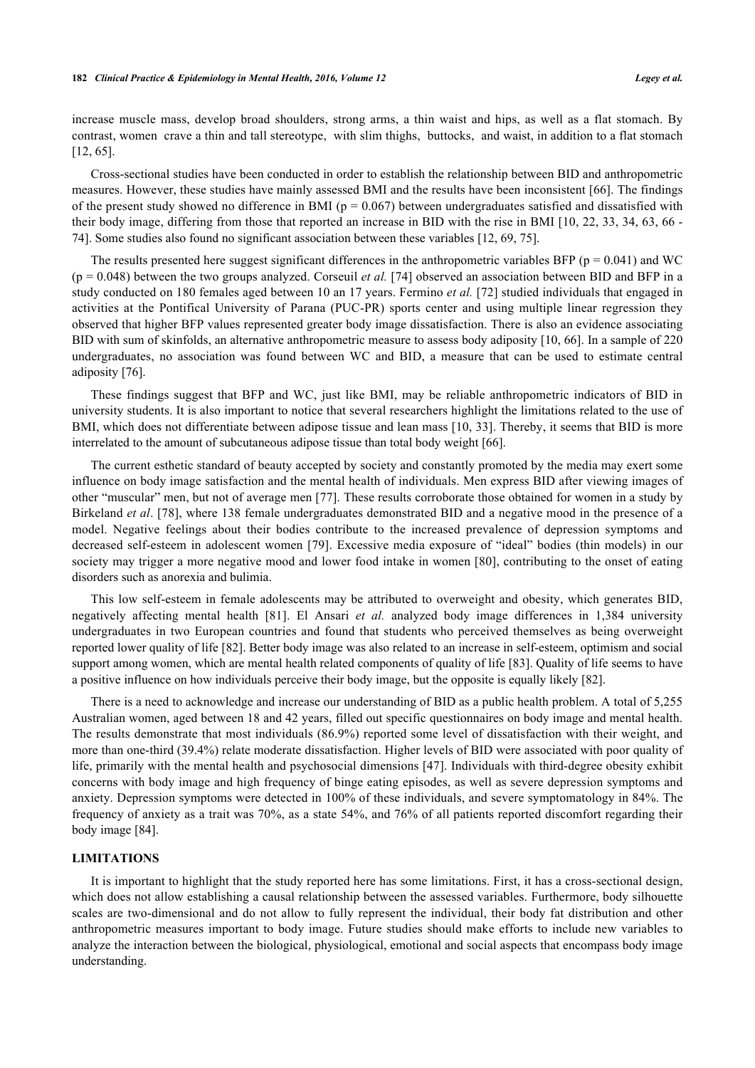increase muscle mass, develop broad shoulders, strong arms, a thin waist and hips, as well as a flat stomach. By contrast, women crave a thin and tall stereotype, with slim thighs, buttocks, and waist, in addition to a flat stomach [\[12](#page-6-10), [65](#page-9-3)].

Cross-sectional studies have been conducted in order to establish the relationship between BID and anthropometric measures. However, these studies have mainly assessed BMI and the results have been inconsistent [[66](#page-9-4)]. The findings of the present study showed no difference in BMI ( $p = 0.067$ ) between undergraduates satisfied and dissatisfied with their body image, differing from those that reported an increase in BID with the rise in BMI [[10](#page-6-8), [22,](#page-7-5) [33](#page-7-17), [34](#page-7-18), [63,](#page-9-1) [66](#page-9-4) - [74\]](#page-9-5). Some studies also found no significant association between these variables [[12,](#page-6-10) [69,](#page-9-6) [75\]](#page-9-7).

The results presented here suggest significant differences in the anthropometric variables BFP ( $p = 0.041$ ) and WC (p = 0.048) between the two groups analyzed. Corseuil *et al.* [[74\]](#page-9-5) observed an association between BID and BFP in a study conducted on 180 females aged between 10 an 17 years. Fermino *et al.* [\[72](#page-9-8)] studied individuals that engaged in activities at the Pontifical University of Parana (PUC-PR) sports center and using multiple linear regression they observed that higher BFP values represented greater body image dissatisfaction. There is also an evidence associating BID with sum of skinfolds, an alternative anthropometric measure to assess body adiposity [[10,](#page-6-8) [66](#page-9-4)]. In a sample of 220 undergraduates, no association was found between WC and BID, a measure that can be used to estimate central adiposity [\[76](#page-9-9)].

These findings suggest that BFP and WC, just like BMI, may be reliable anthropometric indicators of BID in university students. It is also important to notice that several researchers highlight the limitations related to the use of BMI, which does not differentiate between adipose tissue and lean mass [[10,](#page-6-8) [33](#page-7-17)]. Thereby, it seems that BID is more interrelated to the amount of subcutaneous adipose tissue than total body weight [\[66](#page-9-4)].

The current esthetic standard of beauty accepted by society and constantly promoted by the media may exert some influence on body image satisfaction and the mental health of individuals. Men express BID after viewing images of other "muscular" men, but not of average men [\[77](#page-9-10)]. These results corroborate those obtained for women in a study by Birkeland *et al*. [[78\]](#page-9-11), where 138 female undergraduates demonstrated BID and a negative mood in the presence of a model. Negative feelings about their bodies contribute to the increased prevalence of depression symptoms and decreased self-esteem in adolescent women [[79](#page-9-12)]. Excessive media exposure of "ideal" bodies (thin models) in our society may trigger a more negative mood and lower food intake in women [[80](#page-9-13)], contributing to the onset of eating disorders such as anorexia and bulimia.

This low self-esteem in female adolescents may be attributed to overweight and obesity, which generates BID, negatively affecting mental health[[81\]](#page-9-14). El Ansari *et al.* analyzed body image differences in 1,384 university undergraduates in two European countries and found that students who perceived themselves as being overweight reported lower quality of life [\[82](#page-9-15)]. Better body image was also related to an increase in self-esteem, optimism and social support among women, which are mental health related components of quality of life [[83\]](#page-10-0). Quality of life seems to have a positive influence on how individuals perceive their body image, but the opposite is equally likely [[82\]](#page-9-15).

There is a need to acknowledge and increase our understanding of BID as a public health problem. A total of 5,255 Australian women, aged between 18 and 42 years, filled out specific questionnaires on body image and mental health. The results demonstrate that most individuals (86.9%) reported some level of dissatisfaction with their weight, and more than one-third (39.4%) relate moderate dissatisfaction. Higher levels of BID were associated with poor quality of life, primarily with the mental health and psychosocial dimensions [[47\]](#page-8-1). Individuals with third-degree obesity exhibit concerns with body image and high frequency of binge eating episodes, as well as severe depression symptoms and anxiety. Depression symptoms were detected in 100% of these individuals, and severe symptomatology in 84%. The frequency of anxiety as a trait was 70%, as a state 54%, and 76% of all patients reported discomfort regarding their body image [\[84](#page-10-1)].

### **LIMITATIONS**

It is important to highlight that the study reported here has some limitations. First, it has a cross-sectional design, which does not allow establishing a causal relationship between the assessed variables. Furthermore, body silhouette scales are two-dimensional and do not allow to fully represent the individual, their body fat distribution and other anthropometric measures important to body image. Future studies should make efforts to include new variables to analyze the interaction between the biological, physiological, emotional and social aspects that encompass body image understanding.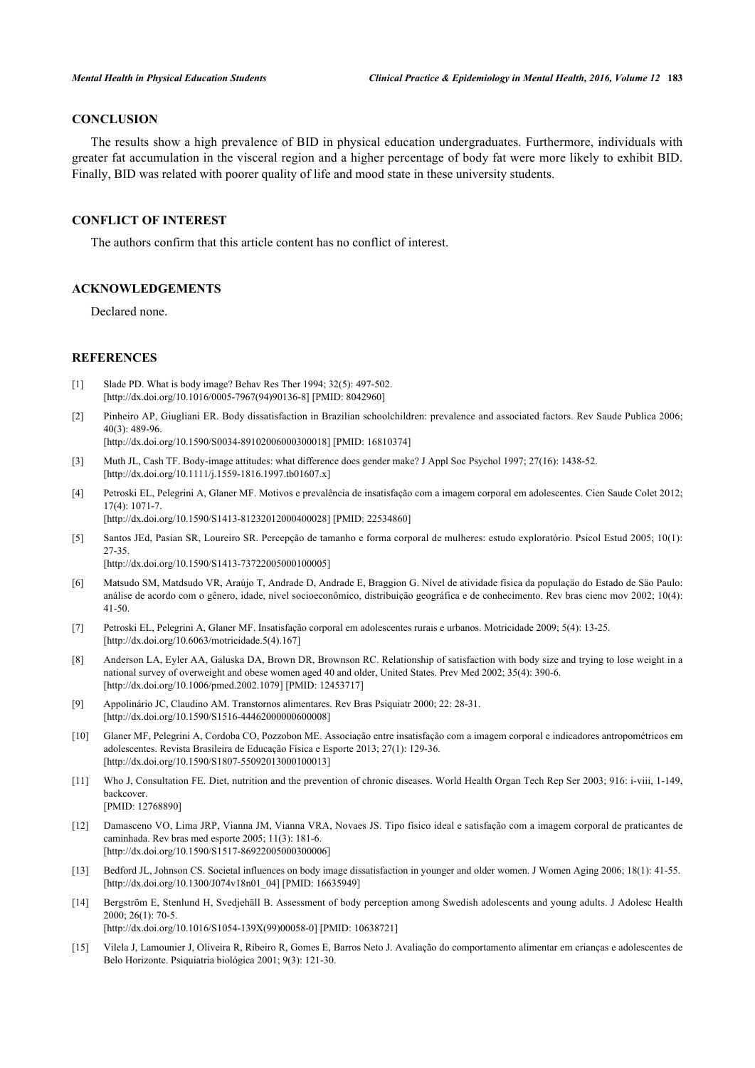# **CONCLUSION**

The results show a high prevalence of BID in physical education undergraduates. Furthermore, individuals with greater fat accumulation in the visceral region and a higher percentage of body fat were more likely to exhibit BID. Finally, BID was related with poorer quality of life and mood state in these university students.

#### **CONFLICT OF INTEREST**

The authors confirm that this article content has no conflict of interest.

#### **ACKNOWLEDGEMENTS**

Declared none.

### **REFERENCES**

- <span id="page-6-0"></span>[1] Slade PD. What is body image? Behav Res Ther 1994; 32(5): 497-502. [\[http://dx.doi.org/10.1016/0005-7967\(94\)90136-8](http://dx.doi.org/10.1016/0005-7967(94)90136-8)] [PMID: [8042960](http://www.ncbi.nlm.nih.gov/pubmed/8042960)]
- <span id="page-6-1"></span>[2] Pinheiro AP, Giugliani ER. Body dissatisfaction in Brazilian schoolchildren: prevalence and associated factors. Rev Saude Publica 2006; 40(3): 489-96.

[\[http://dx.doi.org/10.1590/S0034-89102006000300018\]](http://dx.doi.org/10.1590/S0034-89102006000300018) [PMID: [16810374](http://www.ncbi.nlm.nih.gov/pubmed/16810374)]

- <span id="page-6-2"></span>[3] Muth JL, Cash TF. Body-image attitudes: what difference does gender make? J Appl Soc Psychol 1997; 27(16): 1438-52. [\[http://dx.doi.org/10.1111/j.1559-1816.1997.tb01607.x\]](http://dx.doi.org/10.1111/j.1559-1816.1997.tb01607.x)
- <span id="page-6-3"></span>[4] Petroski EL, Pelegrini A, Glaner MF. Motivos e prevalência de insatisfação com a imagem corporal em adolescentes. Cien Saude Colet 2012; 17(4): 1071-7. [\[http://dx.doi.org/10.1590/S1413-81232012000400028\]](http://dx.doi.org/10.1590/S1413-81232012000400028) [PMID: [22534860](http://www.ncbi.nlm.nih.gov/pubmed/22534860)]
- <span id="page-6-4"></span>[5] Santos JEd, Pasian SR, Loureiro SR. Percepção de tamanho e forma corporal de mulheres: estudo exploratório. Psicol Estud 2005; 10(1): 27-35.

[\[http://dx.doi.org/10.1590/S1413-73722005000100005\]](http://dx.doi.org/10.1590/S1413-73722005000100005)

- <span id="page-6-5"></span>[6] Matsudo SM, Matdsudo VR, Araújo T, Andrade D, Andrade E, Braggion G. Nível de atividade física da populaçäo do Estado de Säo Paulo: análise de acordo com o gênero, idade, nível socioeconômico, distribuiçäo geográfica e de conhecimento. Rev bras cienc mov 2002; 10(4): 41-50.
- <span id="page-6-6"></span>[7] Petroski EL, Pelegrini A, Glaner MF. Insatisfação corporal em adolescentes rurais e urbanos. Motricidade 2009; 5(4): 13-25. [\[http://dx.doi.org/10.6063/motricidade.5\(4\).167](http://dx.doi.org/10.6063/motricidade.5(4).167)]
- <span id="page-6-7"></span>[8] Anderson LA, Eyler AA, Galuska DA, Brown DR, Brownson RC. Relationship of satisfaction with body size and trying to lose weight in a national survey of overweight and obese women aged 40 and older, United States. Prev Med 2002; 35(4): 390-6. [\[http://dx.doi.org/10.1006/pmed.2002.1079\]](http://dx.doi.org/10.1006/pmed.2002.1079) [PMID: [12453717](http://www.ncbi.nlm.nih.gov/pubmed/12453717)]
- [9] Appolinário JC, Claudino AM. Transtornos alimentares. Rev Bras Psiquiatr 2000; 22: 28-31. [\[http://dx.doi.org/10.1590/S1516-44462000000600008\]](http://dx.doi.org/10.1590/S1516-44462000000600008)
- <span id="page-6-8"></span>[10] Glaner MF, Pelegrini A, Cordoba CO, Pozzobon ME. Associação entre insatisfação com a imagem corporal e indicadores antropométricos em adolescentes. Revista Brasileira de Educação Física e Esporte 2013; 27(1): 129-36. [\[http://dx.doi.org/10.1590/S1807-55092013000100013\]](http://dx.doi.org/10.1590/S1807-55092013000100013)
- <span id="page-6-9"></span>[11] Who J, Consultation FE. Diet, nutrition and the prevention of chronic diseases. World Health Organ Tech Rep Ser 2003; 916: i-viii, 1-149, backcover.

[PMID: [12768890\]](http://www.ncbi.nlm.nih.gov/pubmed/12768890)

- <span id="page-6-10"></span>[12] Damasceno VO, Lima JRP, Vianna JM, Vianna VRA, Novaes JS. Tipo físico ideal e satisfação com a imagem corporal de praticantes de caminhada. Rev bras med esporte 2005; 11(3): 181-6. [\[http://dx.doi.org/10.1590/S1517-86922005000300006\]](http://dx.doi.org/10.1590/S1517-86922005000300006)
- <span id="page-6-11"></span>[13] Bedford JL, Johnson CS. Societal influences on body image dissatisfaction in younger and older women. J Women Aging 2006; 18(1): 41-55. [\[http://dx.doi.org/10.1300/J074v18n01\\_04\]](http://dx.doi.org/10.1300/J074v18n01_04) [PMID: [16635949](http://www.ncbi.nlm.nih.gov/pubmed/16635949)]
- <span id="page-6-12"></span>[14] Bergström E, Stenlund H, Svedjehäll B. Assessment of body perception among Swedish adolescents and young adults. J Adolesc Health 2000; 26(1): 70-5. [\[http://dx.doi.org/10.1016/S1054-139X\(99\)00058-0\]](http://dx.doi.org/10.1016/S1054-139X(99)00058-0) [PMID: [10638721](http://www.ncbi.nlm.nih.gov/pubmed/10638721)]
- [15] Vilela J, Lamounier J, Oliveira R, Ribeiro R, Gomes E, Barros Neto J. Avaliação do comportamento alimentar em crianças e adolescentes de Belo Horizonte. Psiquiatria biológica 2001; 9(3): 121-30.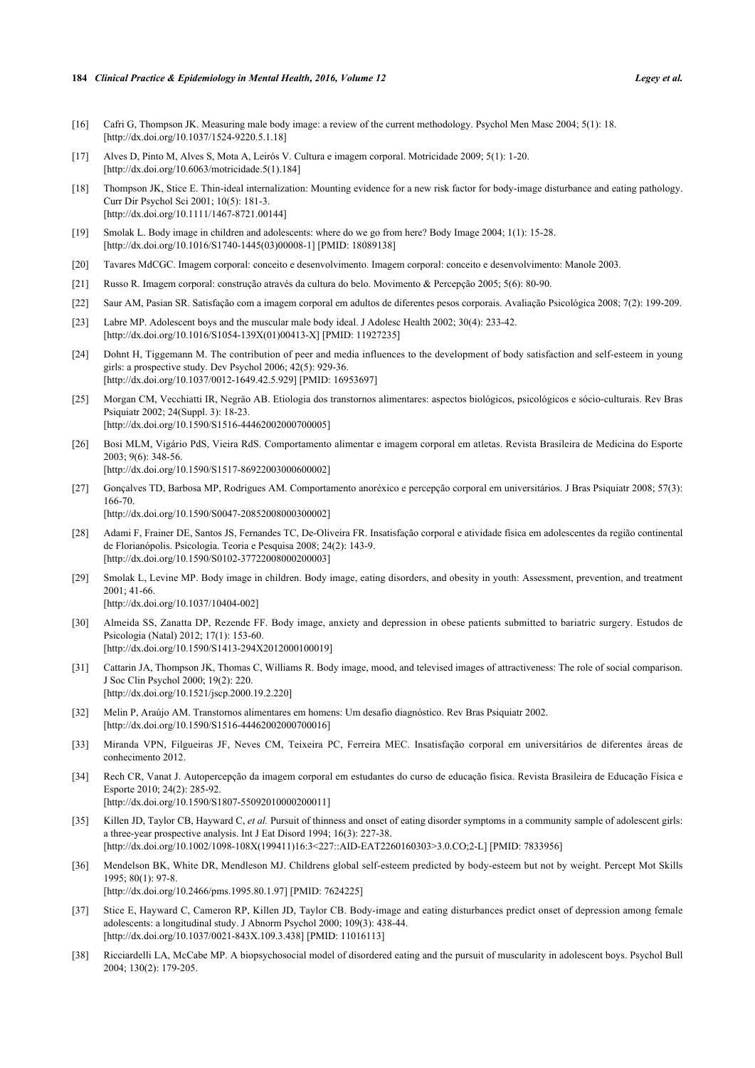#### **184** *Clinical Practice & Epidemiology in Mental Health, 2016, Volume 12 Legey et al.*

- <span id="page-7-0"></span>[16] Cafri G, Thompson JK. Measuring male body image: a review of the current methodology. Psychol Men Masc 2004; 5(1): 18. [\[http://dx.doi.org/10.1037/1524-9220.5.1.18](http://dx.doi.org/10.1037/1524-9220.5.1.18)]
- <span id="page-7-1"></span>[17] Alves D, Pinto M, Alves S, Mota A, Leirós V. Cultura e imagem corporal. Motricidade 2009; 5(1): 1-20. [\[http://dx.doi.org/10.6063/motricidade.5\(1\).184](http://dx.doi.org/10.6063/motricidade.5(1).184)]
- <span id="page-7-2"></span>[18] Thompson JK, Stice E. Thin-ideal internalization: Mounting evidence for a new risk factor for body-image disturbance and eating pathology. Curr Dir Psychol Sci 2001; 10(5): 181-3. [\[http://dx.doi.org/10.1111/1467-8721.00144](http://dx.doi.org/10.1111/1467-8721.00144)]
- <span id="page-7-3"></span>[19] Smolak L. Body image in children and adolescents: where do we go from here? Body Image 2004; 1(1): 15-28. [\[http://dx.doi.org/10.1016/S1740-1445\(03\)00008-1\]](http://dx.doi.org/10.1016/S1740-1445(03)00008-1) [PMID: [18089138](http://www.ncbi.nlm.nih.gov/pubmed/18089138)]
- <span id="page-7-4"></span>[20] Tavares MdCGC. Imagem corporal: conceito e desenvolvimento. Imagem corporal: conceito e desenvolvimento: Manole 2003.
- <span id="page-7-8"></span>[21] Russo R. Imagem corporal: construção através da cultura do belo. Movimento & Percepção 2005; 5(6): 80-90.
- <span id="page-7-5"></span>[22] Saur AM, Pasian SR. Satisfação com a imagem corporal em adultos de diferentes pesos corporais. Avaliação Psicológica 2008; 7(2): 199-209.
- <span id="page-7-6"></span>[23] Labre MP. Adolescent boys and the muscular male body ideal. J Adolesc Health 2002; 30(4): 233-42. [\[http://dx.doi.org/10.1016/S1054-139X\(01\)00413-X](http://dx.doi.org/10.1016/S1054-139X(01)00413-X)] [PMID: [11927235](http://www.ncbi.nlm.nih.gov/pubmed/11927235)]
- <span id="page-7-7"></span>[24] Dohnt H, Tiggemann M. The contribution of peer and media influences to the development of body satisfaction and self-esteem in young girls: a prospective study. Dev Psychol 2006; 42(5): 929-36. [\[http://dx.doi.org/10.1037/0012-1649.42.5.929](http://dx.doi.org/10.1037/0012-1649.42.5.929)] [PMID: [16953697](http://www.ncbi.nlm.nih.gov/pubmed/16953697)]
- <span id="page-7-9"></span>[25] Morgan CM, Vecchiatti IR, Negräo AB. Etiologia dos transtornos alimentares: aspectos biológicos, psicológicos e sócio-culturais. Rev Bras Psiquiatr 2002; 24(Suppl. 3): 18-23. [\[http://dx.doi.org/10.1590/S1516-44462002000700005\]](http://dx.doi.org/10.1590/S1516-44462002000700005)
- <span id="page-7-10"></span>[26] Bosi MLM, Vigário PdS, Vieira RdS. Comportamento alimentar e imagem corporal em atletas. Revista Brasileira de Medicina do Esporte  $2003 \cdot 9(6) \cdot 348 - 56$ [\[http://dx.doi.org/10.1590/S1517-86922003000600002\]](http://dx.doi.org/10.1590/S1517-86922003000600002)
- <span id="page-7-11"></span>[27] Gonçalves TD, Barbosa MP, Rodrigues AM. Comportamento anoréxico e percepção corporal em universitários. J Bras Psiquiatr 2008; 57(3): 166-70. [\[http://dx.doi.org/10.1590/S0047-20852008000300002\]](http://dx.doi.org/10.1590/S0047-20852008000300002)
- <span id="page-7-12"></span>[28] Adami F, Frainer DE, Santos JS, Fernandes TC, De-Oliveira FR. Insatisfação corporal e atividade física em adolescentes da região continental de Florianópolis. Psicologia. Teoria e Pesquisa 2008; 24(2): 143-9. [\[http://dx.doi.org/10.1590/S0102-37722008000200003\]](http://dx.doi.org/10.1590/S0102-37722008000200003)
- <span id="page-7-13"></span>[29] Smolak L, Levine MP. Body image in children. Body image, eating disorders, and obesity in youth: Assessment, prevention, and treatment 2001; 41-66. [\[http://dx.doi.org/10.1037/10404-002](http://dx.doi.org/10.1037/10404-002)]
- <span id="page-7-14"></span>[30] Almeida SS, Zanatta DP, Rezende FF. Body image, anxiety and depression in obese patients submitted to bariatric surgery. Estudos de Psicologia (Natal) 2012; 17(1): 153-60. [\[http://dx.doi.org/10.1590/S1413-294X2012000100019\]](http://dx.doi.org/10.1590/S1413-294X2012000100019)
- <span id="page-7-15"></span>[31] Cattarin JA, Thompson JK, Thomas C, Williams R. Body image, mood, and televised images of attractiveness: The role of social comparison. J Soc Clin Psychol 2000; 19(2): 220. [\[http://dx.doi.org/10.1521/jscp.2000.19.2.220\]](http://dx.doi.org/10.1521/jscp.2000.19.2.220)
- <span id="page-7-16"></span>[32] Melin P, Araújo AM. Transtornos alimentares em homens: Um desafio diagnóstico. Rev Bras Psiquiatr 2002. [\[http://dx.doi.org/10.1590/S1516-44462002000700016\]](http://dx.doi.org/10.1590/S1516-44462002000700016)
- <span id="page-7-17"></span>[33] Miranda VPN, Filgueiras JF, Neves CM, Teixeira PC, Ferreira MEC. Insatisfação corporal em universitários de diferentes áreas de conhecimento 2012.
- <span id="page-7-18"></span>[34] Rech CR, Vanat J. Autopercepção da imagem corporal em estudantes do curso de educação física. Revista Brasileira de Educação Física e Esporte 2010; 24(2): 285-92. [\[http://dx.doi.org/10.1590/S1807-55092010000200011\]](http://dx.doi.org/10.1590/S1807-55092010000200011)
- [35] Killen JD, Taylor CB, Hayward C, *et al.* Pursuit of thinness and onset of eating disorder symptoms in a community sample of adolescent girls: a three-year prospective analysis. Int J Eat Disord 1994; 16(3): 227-38. [\[http://dx.doi.org/10.1002/1098-108X\(199411\)16:3<227::AID-EAT2260160303>3.0.CO;2-L\]](http://dx.doi.org/10.1002/1098-108X(199411)16:3<227::AID-EAT2260160303>3.0.CO;2-L) [PMID: [7833956](http://www.ncbi.nlm.nih.gov/pubmed/7833956)]
- [36] Mendelson BK, White DR, Mendleson MJ. Childrens global self-esteem predicted by body-esteem but not by weight. Percept Mot Skills 1995; 80(1): 97-8.
	- [\[http://dx.doi.org/10.2466/pms.1995.80.1.97](http://dx.doi.org/10.2466/pms.1995.80.1.97)] [PMID: [7624225\]](http://www.ncbi.nlm.nih.gov/pubmed/7624225)
- <span id="page-7-19"></span>[37] Stice E, Hayward C, Cameron RP, Killen JD, Taylor CB. Body-image and eating disturbances predict onset of depression among female adolescents: a longitudinal study. J Abnorm Psychol 2000; 109(3): 438-44. [\[http://dx.doi.org/10.1037/0021-843X.109.3.438](http://dx.doi.org/10.1037/0021-843X.109.3.438)] [PMID: [11016113\]](http://www.ncbi.nlm.nih.gov/pubmed/11016113)
- [38] Ricciardelli LA, McCabe MP. A biopsychosocial model of disordered eating and the pursuit of muscularity in adolescent boys. Psychol Bull 2004; 130(2): 179-205.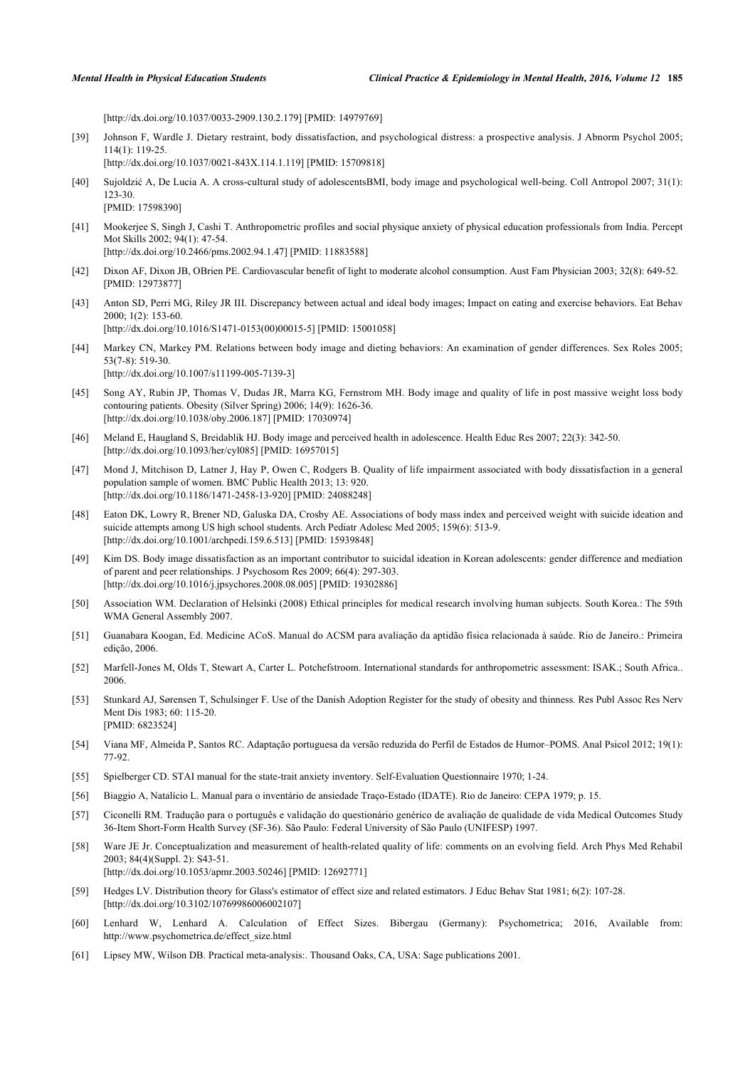[\[http://dx.doi.org/10.1037/0033-2909.130.2.179](http://dx.doi.org/10.1037/0033-2909.130.2.179)] [PMID: [14979769](http://www.ncbi.nlm.nih.gov/pubmed/14979769)]

[39] Johnson F, Wardle J. Dietary restraint, body dissatisfaction, and psychological distress: a prospective analysis. J Abnorm Psychol 2005; 114(1): 119-25.

[\[http://dx.doi.org/10.1037/0021-843X.114.1.119](http://dx.doi.org/10.1037/0021-843X.114.1.119)] [PMID: [15709818\]](http://www.ncbi.nlm.nih.gov/pubmed/15709818)

- <span id="page-8-2"></span>[40] Sujoldzić A, De Lucia A. A cross-cultural study of adolescentsBMI, body image and psychological well-being. Coll Antropol 2007; 31(1): 123-30. [PMID: [17598390\]](http://www.ncbi.nlm.nih.gov/pubmed/17598390)
- <span id="page-8-3"></span>[41] Mookerjee S, Singh J, Cashi T. Anthropometric profiles and social physique anxiety of physical education professionals from India. Percept Mot Skills 2002; 94(1): 47-54. [\[http://dx.doi.org/10.2466/pms.2002.94.1.47](http://dx.doi.org/10.2466/pms.2002.94.1.47)] [PMID: [11883588\]](http://www.ncbi.nlm.nih.gov/pubmed/11883588)
- <span id="page-8-4"></span>[42] Dixon AF, Dixon JB, OBrien PE. Cardiovascular benefit of light to moderate alcohol consumption. Aust Fam Physician 2003; 32(8): 649-52. [PMID: [12973877\]](http://www.ncbi.nlm.nih.gov/pubmed/12973877)
- <span id="page-8-5"></span>[43] Anton SD, Perri MG, Riley JR III. Discrepancy between actual and ideal body images; Impact on eating and exercise behaviors. Eat Behav 2000; 1(2): 153-60. [\[http://dx.doi.org/10.1016/S1471-0153\(00\)00015-5\]](http://dx.doi.org/10.1016/S1471-0153(00)00015-5) [PMID: [15001058](http://www.ncbi.nlm.nih.gov/pubmed/15001058)]
- <span id="page-8-6"></span>[44] Markey CN, Markey PM. Relations between body image and dieting behaviors: An examination of gender differences. Sex Roles 2005; 53(7-8): 519-30. [\[http://dx.doi.org/10.1007/s11199-005-7139-3\]](http://dx.doi.org/10.1007/s11199-005-7139-3)
- <span id="page-8-0"></span>[45] Song AY, Rubin JP, Thomas V, Dudas JR, Marra KG, Fernstrom MH. Body image and quality of life in post massive weight loss body contouring patients. Obesity (Silver Spring) 2006; 14(9): 1626-36. [\[http://dx.doi.org/10.1038/oby.2006.187\]](http://dx.doi.org/10.1038/oby.2006.187) [PMID: [17030974](http://www.ncbi.nlm.nih.gov/pubmed/17030974)]
- [46] Meland E, Haugland S, Breidablik HJ. Body image and perceived health in adolescence. Health Educ Res 2007; 22(3): 342-50. [\[http://dx.doi.org/10.1093/her/cyl085](http://dx.doi.org/10.1093/her/cyl085)] [PMID: [16957015\]](http://www.ncbi.nlm.nih.gov/pubmed/16957015)
- <span id="page-8-1"></span>[47] Mond J, Mitchison D, Latner J, Hay P, Owen C, Rodgers B. Quality of life impairment associated with body dissatisfaction in a general population sample of women. BMC Public Health 2013; 13: 920. [\[http://dx.doi.org/10.1186/1471-2458-13-920\]](http://dx.doi.org/10.1186/1471-2458-13-920) [PMID: [24088248](http://www.ncbi.nlm.nih.gov/pubmed/24088248)]
- <span id="page-8-7"></span>[48] Eaton DK, Lowry R, Brener ND, Galuska DA, Crosby AE. Associations of body mass index and perceived weight with suicide ideation and suicide attempts among US high school students. Arch Pediatr Adolesc Med 2005; 159(6): 513-9. [\[http://dx.doi.org/10.1001/archpedi.159.6.513](http://dx.doi.org/10.1001/archpedi.159.6.513)] [PMID: [15939848\]](http://www.ncbi.nlm.nih.gov/pubmed/15939848)
- <span id="page-8-8"></span>[49] Kim DS. Body image dissatisfaction as an important contributor to suicidal ideation in Korean adolescents: gender difference and mediation of parent and peer relationships. J Psychosom Res 2009; 66(4): 297-303. [\[http://dx.doi.org/10.1016/j.jpsychores.2008.08.005](http://dx.doi.org/10.1016/j.jpsychores.2008.08.005)] [PMID: [19302886\]](http://www.ncbi.nlm.nih.gov/pubmed/19302886)
- <span id="page-8-9"></span>[50] Association WM. Declaration of Helsinki (2008) Ethical principles for medical research involving human subjects. South Korea.: The 59th WMA General Assembly 2007.
- <span id="page-8-10"></span>[51] Guanabara Koogan, Ed. Medicine ACoS. Manual do ACSM para avaliação da aptidão física relacionada à saúde. Rio de Janeiro.: Primeira edição, 2006.
- <span id="page-8-11"></span>[52] Marfell-Jones M, Olds T, Stewart A, Carter L. Potchefstroom. International standards for anthropometric assessment: ISAK.; South Africa.. 2006.
- <span id="page-8-12"></span>[53] Stunkard AJ, Sørensen T, Schulsinger F. Use of the Danish Adoption Register for the study of obesity and thinness. Res Publ Assoc Res Nerv Ment Dis 1983; 60: 115-20. [PMID: [6823524\]](http://www.ncbi.nlm.nih.gov/pubmed/6823524)
- <span id="page-8-13"></span>[54] Viana MF, Almeida P, Santos RC. Adaptação portuguesa da versão reduzida do Perfil de Estados de Humor–POMS. Anal Psicol 2012; 19(1): 77-92.
- <span id="page-8-14"></span>[55] Spielberger CD. STAI manual for the state-trait anxiety inventory. Self-Evaluation Questionnaire 1970; 1-24.
- <span id="page-8-15"></span>[56] Biaggio A, Natalício L. Manual para o inventário de ansiedade Traço-Estado (IDATE). Rio de Janeiro: CEPA 1979; p. 15.
- <span id="page-8-16"></span>[57] Ciconelli RM. Tradução para o português e validação do questionário genérico de avaliação de qualidade de vida Medical Outcomes Study 36-Item Short-Form Health Survey (SF-36). São Paulo: Federal University of São Paulo (UNIFESP) 1997.
- <span id="page-8-17"></span>[58] Ware JE Jr. Conceptualization and measurement of health-related quality of life: comments on an evolving field. Arch Phys Med Rehabil 2003; 84(4)(Suppl. 2): S43-51. [\[http://dx.doi.org/10.1053/apmr.2003.50246](http://dx.doi.org/10.1053/apmr.2003.50246)] [PMID: [12692771\]](http://www.ncbi.nlm.nih.gov/pubmed/12692771)
- <span id="page-8-18"></span>[59] Hedges LV. Distribution theory for Glass's estimator of effect size and related estimators. J Educ Behav Stat 1981; 6(2): 107-28. [\[http://dx.doi.org/10.3102/10769986006002107\]](http://dx.doi.org/10.3102/10769986006002107)
- <span id="page-8-19"></span>[60] Lenhard W, Lenhard A. Calculation of Effect Sizes. Bibergau (Germany): Psychometrica; 2016, Available from: [http://www.psychometrica.de/effect\\_size.html](http://www.psychometrica.de/effect_size.html)
- <span id="page-8-20"></span>[61] Lipsey MW, Wilson DB. Practical meta-analysis:. Thousand Oaks, CA, USA: Sage publications 2001.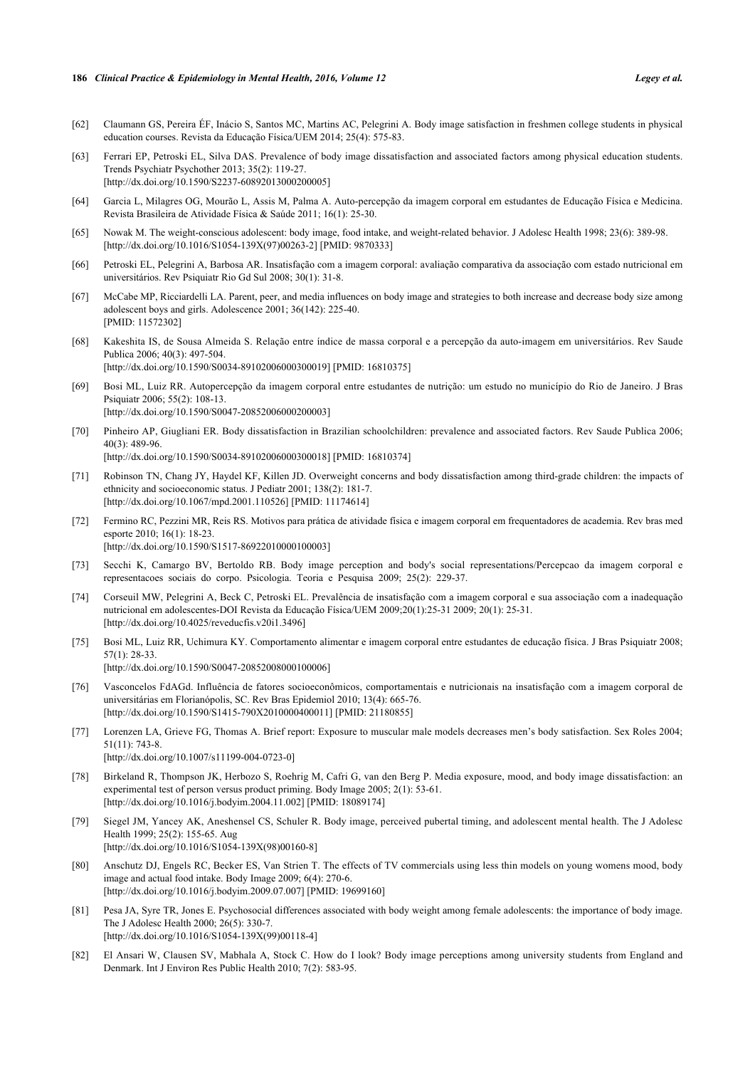#### **186** *Clinical Practice & Epidemiology in Mental Health, 2016, Volume 12 Legey et al.*

- <span id="page-9-0"></span>[62] Claumann GS, Pereira ÉF, Inácio S, Santos MC, Martins AC, Pelegrini A. Body image satisfaction in freshmen college students in physical education courses. Revista da Educação Física/UEM 2014; 25(4): 575-83.
- <span id="page-9-1"></span>[63] Ferrari EP, Petroski EL, Silva DAS. Prevalence of body image dissatisfaction and associated factors among physical education students. Trends Psychiatr Psychother 2013; 35(2): 119-27. [\[http://dx.doi.org/10.1590/S2237-60892013000200005\]](http://dx.doi.org/10.1590/S2237-60892013000200005)
- <span id="page-9-2"></span>[64] Garcia L, Milagres OG, Mourão L, Assis M, Palma A. Auto-percepção da imagem corporal em estudantes de Educação Física e Medicina. Revista Brasileira de Atividade Física & Saúde 2011; 16(1): 25-30.
- <span id="page-9-3"></span>[65] Nowak M. The weight-conscious adolescent: body image, food intake, and weight-related behavior. J Adolesc Health 1998; 23(6): 389-98. [\[http://dx.doi.org/10.1016/S1054-139X\(97\)00263-2\]](http://dx.doi.org/10.1016/S1054-139X(97)00263-2) [PMID: [9870333](http://www.ncbi.nlm.nih.gov/pubmed/9870333)]
- <span id="page-9-4"></span>[66] Petroski EL, Pelegrini A, Barbosa AR. Insatisfação com a imagem corporal: avaliação comparativa da associação com estado nutricional em universitários. Rev Psiquiatr Rio Gd Sul 2008; 30(1): 31-8.
- [67] McCabe MP, Ricciardelli LA. Parent, peer, and media influences on body image and strategies to both increase and decrease body size among adolescent boys and girls. Adolescence 2001; 36(142): 225-40. [PMID: [11572302\]](http://www.ncbi.nlm.nih.gov/pubmed/11572302)
- [68] Kakeshita IS, de Sousa Almeida S. Relação entre índice de massa corporal e a percepção da auto-imagem em universitários. Rev Saude Publica 2006; 40(3): 497-504. [\[http://dx.doi.org/10.1590/S0034-89102006000300019\]](http://dx.doi.org/10.1590/S0034-89102006000300019) [PMID: [16810375](http://www.ncbi.nlm.nih.gov/pubmed/16810375)]
- <span id="page-9-6"></span>[69] Bosi ML, Luiz RR. Autopercepção da imagem corporal entre estudantes de nutrição: um estudo no município do Rio de Janeiro. J Bras Psiquiatr 2006; 55(2): 108-13. [\[http://dx.doi.org/10.1590/S0047-20852006000200003\]](http://dx.doi.org/10.1590/S0047-20852006000200003)
- [70] Pinheiro AP, Giugliani ER. Body dissatisfaction in Brazilian schoolchildren: prevalence and associated factors. Rev Saude Publica 2006; 40(3): 489-96.

[\[http://dx.doi.org/10.1590/S0034-89102006000300018\]](http://dx.doi.org/10.1590/S0034-89102006000300018) [PMID: [16810374](http://www.ncbi.nlm.nih.gov/pubmed/16810374)]

- [71] Robinson TN, Chang JY, Haydel KF, Killen JD. Overweight concerns and body dissatisfaction among third-grade children: the impacts of ethnicity and socioeconomic status. J Pediatr 2001; 138(2): 181-7. [\[http://dx.doi.org/10.1067/mpd.2001.110526](http://dx.doi.org/10.1067/mpd.2001.110526)] [PMID: [11174614\]](http://www.ncbi.nlm.nih.gov/pubmed/11174614)
- <span id="page-9-8"></span>[72] Fermino RC, Pezzini MR, Reis RS. Motivos para prática de atividade física e imagem corporal em frequentadores de academia. Rev bras med esporte 2010; 16(1): 18-23. [\[http://dx.doi.org/10.1590/S1517-86922010000100003\]](http://dx.doi.org/10.1590/S1517-86922010000100003)
- [73] Secchi K, Camargo BV, Bertoldo RB. Body image perception and body's social representations/Percepcao da imagem corporal e representacoes sociais do corpo. Psicologia. Teoria e Pesquisa 2009; 25(2): 229-37.
- <span id="page-9-5"></span>[74] Corseuil MW, Pelegrini A, Beck C, Petroski EL. Prevalência de insatisfação com a imagem corporal e sua associação com a inadequação nutricional em adolescentes-DOI Revista da Educação Física/UEM 2009;20(1):25-31 2009; 20(1): 25-31. [\[http://dx.doi.org/10.4025/reveducfis.v20i1.3496](http://dx.doi.org/10.4025/reveducfis.v20i1.3496)]
- <span id="page-9-7"></span>[75] Bosi ML, Luiz RR, Uchimura KY. Comportamento alimentar e imagem corporal entre estudantes de educação física. J Bras Psiquiatr 2008; 57(1): 28-33.

[\[http://dx.doi.org/10.1590/S0047-20852008000100006\]](http://dx.doi.org/10.1590/S0047-20852008000100006)

- <span id="page-9-9"></span>[76] Vasconcelos FdAGd. Influência de fatores socioeconômicos, comportamentais e nutricionais na insatisfação com a imagem corporal de universitárias em Florianópolis, SC. Rev Bras Epidemiol 2010; 13(4): 665-76. [\[http://dx.doi.org/10.1590/S1415-790X2010000400011\]](http://dx.doi.org/10.1590/S1415-790X2010000400011) [PMID: [21180855](http://www.ncbi.nlm.nih.gov/pubmed/21180855)]
- <span id="page-9-10"></span>[77] Lorenzen LA, Grieve FG, Thomas A. Brief report: Exposure to muscular male models decreases men's body satisfaction. Sex Roles 2004; 51(11): 743-8. [\[http://dx.doi.org/10.1007/s11199-004-0723-0\]](http://dx.doi.org/10.1007/s11199-004-0723-0)
- <span id="page-9-11"></span>[78] Birkeland R, Thompson JK, Herbozo S, Roehrig M, Cafri G, van den Berg P. Media exposure, mood, and body image dissatisfaction: an experimental test of person versus product priming. Body Image 2005; 2(1): 53-61. [\[http://dx.doi.org/10.1016/j.bodyim.2004.11.002](http://dx.doi.org/10.1016/j.bodyim.2004.11.002)] [PMID: [18089174](http://www.ncbi.nlm.nih.gov/pubmed/18089174)]
- <span id="page-9-12"></span>[79] Siegel JM, Yancey AK, Aneshensel CS, Schuler R. Body image, perceived pubertal timing, and adolescent mental health. The J Adolesc Health 1999; 25(2): 155-65. Aug [\[http://dx.doi.org/10.1016/S1054-139X\(98\)00160-8\]](http://dx.doi.org/10.1016/S1054-139X(98)00160-8)
- <span id="page-9-13"></span>[80] Anschutz DJ, Engels RC, Becker ES, Van Strien T. The effects of TV commercials using less thin models on young womens mood, body image and actual food intake. Body Image 2009; 6(4): 270-6. [\[http://dx.doi.org/10.1016/j.bodyim.2009.07.007](http://dx.doi.org/10.1016/j.bodyim.2009.07.007)] [PMID: [19699160](http://www.ncbi.nlm.nih.gov/pubmed/19699160)]
- <span id="page-9-14"></span>[81] Pesa JA, Syre TR, Jones E. Psychosocial differences associated with body weight among female adolescents: the importance of body image. The J Adolesc Health 2000; 26(5): 330-7. [\[http://dx.doi.org/10.1016/S1054-139X\(99\)00118-4\]](http://dx.doi.org/10.1016/S1054-139X(99)00118-4)
- <span id="page-9-15"></span>[82] El Ansari W, Clausen SV, Mabhala A, Stock C. How do I look? Body image perceptions among university students from England and Denmark. Int J Environ Res Public Health 2010; 7(2): 583-95.